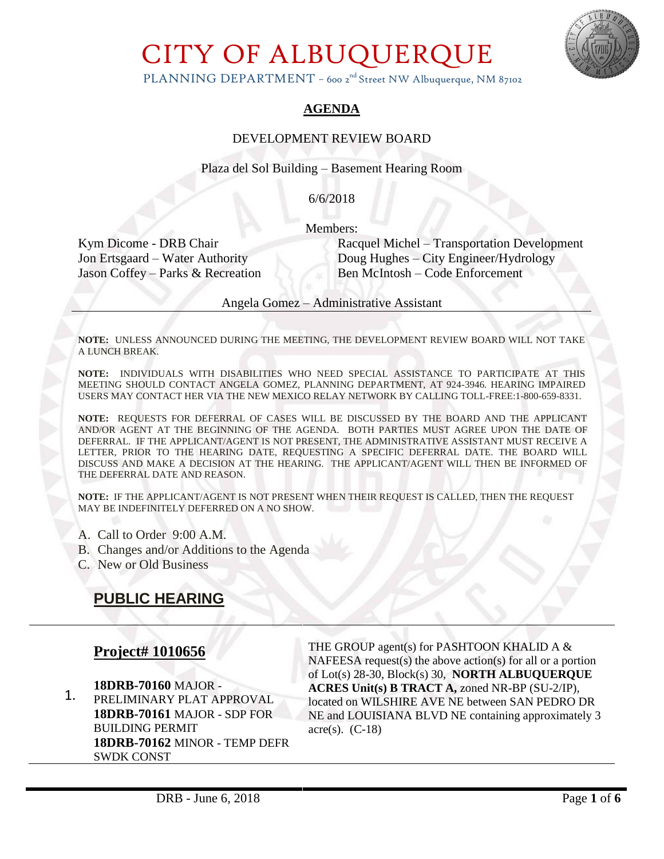

PLANNING DEPARTMENT - 600 2<sup>nd</sup> Street NW Albuquerque, NM 87102

#### **AGENDA**

#### DEVELOPMENT REVIEW BOARD

Plaza del Sol Building – Basement Hearing Room

6/6/2018

Members:

Kym Dicome - DRB Chair Racquel Michel – Transportation Development Jon Ertsgaard – Water Authority Doug Hughes – City Engineer/Hydrology Jason Coffey – Parks & Recreation Ben McIntosh – Code Enforcement

Angela Gomez – Administrative Assistant

**NOTE:** UNLESS ANNOUNCED DURING THE MEETING, THE DEVELOPMENT REVIEW BOARD WILL NOT TAKE A LUNCH BREAK.

**NOTE:** INDIVIDUALS WITH DISABILITIES WHO NEED SPECIAL ASSISTANCE TO PARTICIPATE AT THIS MEETING SHOULD CONTACT ANGELA GOMEZ, PLANNING DEPARTMENT, AT 924-3946. HEARING IMPAIRED USERS MAY CONTACT HER VIA THE NEW MEXICO RELAY NETWORK BY CALLING TOLL-FREE:1-800-659-8331.

**NOTE:** REQUESTS FOR DEFERRAL OF CASES WILL BE DISCUSSED BY THE BOARD AND THE APPLICANT AND/OR AGENT AT THE BEGINNING OF THE AGENDA. BOTH PARTIES MUST AGREE UPON THE DATE OF DEFERRAL. IF THE APPLICANT/AGENT IS NOT PRESENT, THE ADMINISTRATIVE ASSISTANT MUST RECEIVE A LETTER, PRIOR TO THE HEARING DATE, REQUESTING A SPECIFIC DEFERRAL DATE. THE BOARD WILL DISCUSS AND MAKE A DECISION AT THE HEARING. THE APPLICANT/AGENT WILL THEN BE INFORMED OF THE DEFERRAL DATE AND REASON.

**NOTE:** IF THE APPLICANT/AGENT IS NOT PRESENT WHEN THEIR REQUEST IS CALLED, THEN THE REQUEST MAY BE INDEFINITELY DEFERRED ON A NO SHOW.

- A. Call to Order 9:00 A.M.
- B. Changes and/or Additions to the Agenda
- C. New or Old Business

## **PUBLIC HEARING**

#### **Project# 1010656**

1. **18DRB-70160** MAJOR - PRELIMINARY PLAT APPROVAL **18DRB-70161** MAJOR - SDP FOR BUILDING PERMIT **18DRB-70162** MINOR - TEMP DEFR SWDK CONST

THE GROUP agent(s) for PASHTOON KHALID A & NAFEESA request(s) the above action(s) for all or a portion of Lot(s) 28-30, Block(s) 30, **NORTH ALBUQUERQUE ACRES Unit(s) B TRACT A,** zoned NR-BP (SU-2/IP), located on WILSHIRE AVE NE between SAN PEDRO DR NE and LOUISIANA BLVD NE containing approximately 3 acre $(s)$ .  $(C-18)$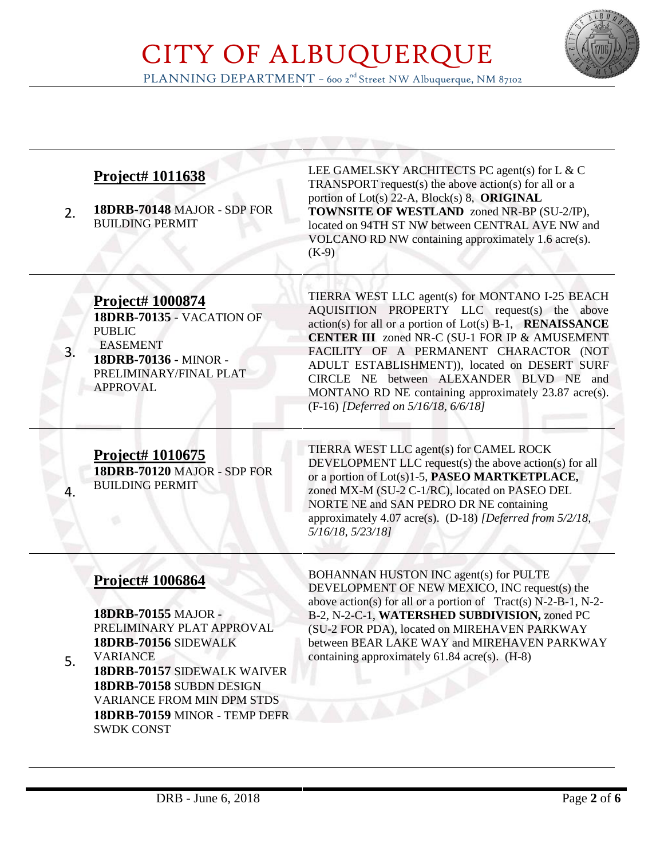

PLANNING DEPARTMENT – 600 2<sup>nd</sup> Street NW Albuquerque, NM 87102

| 2. | Project# 1011638<br>18DRB-70148 MAJOR - SDP FOR<br><b>BUILDING PERMIT</b>                                                                                                                                                                               | LEE GAMELSKY ARCHITECTS PC agent(s) for L & C<br><b>TRANSPORT</b> request(s) the above action(s) for all or a<br>portion of Lot(s) 22-A, Block(s) 8, ORIGINAL<br><b>TOWNSITE OF WESTLAND</b> zoned NR-BP (SU-2/IP),<br>located on 94TH ST NW between CENTRAL AVE NW and<br>VOLCANO RD NW containing approximately 1.6 acre(s).<br>$(K-9)$                                                                                                                               |
|----|---------------------------------------------------------------------------------------------------------------------------------------------------------------------------------------------------------------------------------------------------------|-------------------------------------------------------------------------------------------------------------------------------------------------------------------------------------------------------------------------------------------------------------------------------------------------------------------------------------------------------------------------------------------------------------------------------------------------------------------------|
| 3. | Project# 1000874<br>18DRB-70135 - VACATION OF<br><b>PUBLIC</b><br><b>EASEMENT</b><br>18DRB-70136 - MINOR -<br>PRELIMINARY/FINAL PLAT<br><b>APPROVAL</b>                                                                                                 | TIERRA WEST LLC agent(s) for MONTANO I-25 BEACH<br>AQUISITION PROPERTY LLC request(s) the above<br>$action(s)$ for all or a portion of $Lot(s)$ B-1, <b>RENAISSANCE</b><br><b>CENTER III</b> zoned NR-C (SU-1 FOR IP & AMUSEMENT<br>FACILITY OF A PERMANENT CHARACTOR (NOT<br>ADULT ESTABLISHMENT)), located on DESERT SURF<br>CIRCLE NE between ALEXANDER BLVD NE and<br>MONTANO RD NE containing approximately 23.87 acre(s).<br>(F-16) [Deferred on 5/16/18, 6/6/18] |
| 4. | <b>Project# 1010675</b><br>18DRB-70120 MAJOR - SDP FOR<br><b>BUILDING PERMIT</b>                                                                                                                                                                        | TIERRA WEST LLC agent(s) for CAMEL ROCK<br>DEVELOPMENT LLC request(s) the above action(s) for all<br>or a portion of Lot(s)1-5, PASEO MARTKETPLACE,<br>zoned MX-M (SU-2 C-1/RC), located on PASEO DEL<br>NORTE NE and SAN PEDRO DR NE containing<br>approximately 4.07 acre(s). (D-18) [Deferred from 5/2/18,<br>5/16/18, 5/23/18]                                                                                                                                      |
| 5. | Project# 1006864<br>18DRB-70155 MAJOR -<br>PRELIMINARY PLAT APPROVAL<br>18DRB-70156 SIDEWALK<br><b>VARIANCE</b><br><b>18DRB-70157 SIDEWALK WAIVER</b><br>18DRB-70158 SUBDN DESIGN<br><b>VARIANCE FROM MIN DPM STDS</b><br>18DRB-70159 MINOR - TEMP DEFR | BOHANNAN HUSTON INC agent(s) for PULTE<br>DEVELOPMENT OF NEW MEXICO, INC request(s) the<br>above action(s) for all or a portion of $Tract(s) N-2-B-1, N-2-$<br>B-2, N-2-C-1, WATERSHED SUBDIVISION, zoned PC<br>(SU-2 FOR PDA), located on MIREHAVEN PARKWAY<br>between BEAR LAKE WAY and MIREHAVEN PARKWAY<br>containing approximately $61.84$ acre(s). $(H-8)$                                                                                                        |

SWDK CONST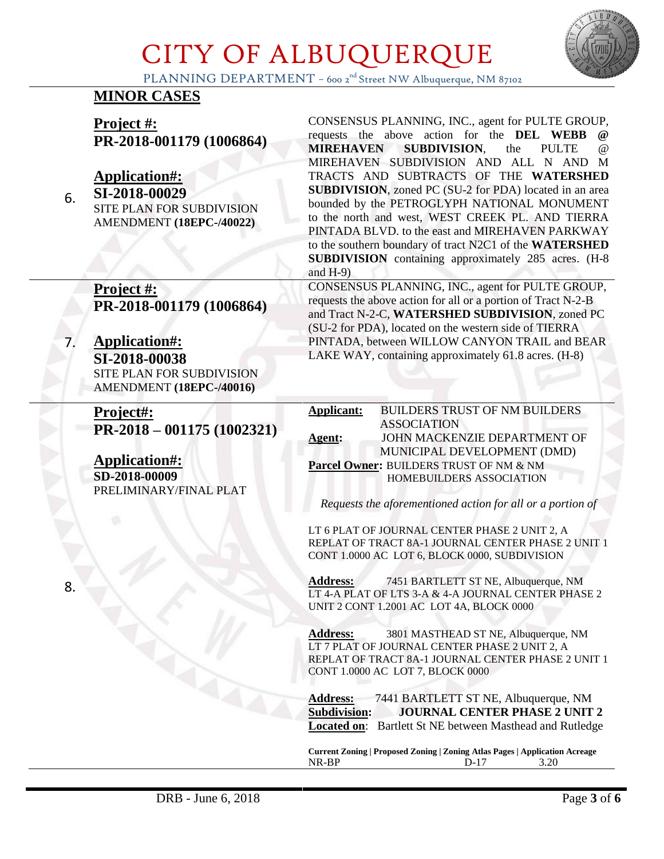

PLANNING DEPARTMENT - 600 2<sup>nd</sup> Street NW Albuquerque, NM 87102

## **MINOR CASES**

**Project #: PR-2018-001179 (1006864)** 

## **Application#:**

**SI-2018-00029**

6.

7.

SITE PLAN FOR SUBDIVISION AMENDMENT **(18EPC-/40022)**

**Project #: PR-2018-001179 (1006864)** 

**Application#: SI-2018-00038** SITE PLAN FOR SUBDIVISION AMENDMENT **(18EPC-/40016)**

**Project#: PR-2018 – 001175 (1002321)**

**Application#: SD-2018-00009**  PRELIMINARY/FINAL PLAT CONSENSUS PLANNING, INC., agent for PULTE GROUP, requests the above action for the **DEL WEBB MIREHAVEN SUBDIVISION**, the PULTE @ MIREHAVEN SUBDIVISION AND ALL N AND M TRACTS AND SUBTRACTS OF THE **WATERSHED SUBDIVISION**, zoned PC (SU-2 for PDA) located in an area bounded by the PETROGLYPH NATIONAL MONUMENT to the north and west, WEST CREEK PL. AND TIERRA PINTADA BLVD. to the east and MIREHAVEN PARKWAY to the southern boundary of tract N2C1 of the **WATERSHED SUBDIVISION** containing approximately 285 acres. (H-8 and H-9)

CONSENSUS PLANNING, INC., agent for PULTE GROUP, requests the above action for all or a portion of Tract N-2-B and Tract N-2-C, **WATERSHED SUBDIVISION**, zoned PC (SU-2 for PDA), located on the western side of TIERRA PINTADA, between WILLOW CANYON TRAIL and BEAR LAKE WAY, containing approximately 61.8 acres. (H-8)

**Applicant:** BUILDERS TRUST OF NM BUILDERS ASSOCIATION **Agent:** JOHN MACKENZIE DEPARTMENT OF MUNICIPAL DEVELOPMENT (DMD) **Parcel Owner:** BUILDERS TRUST OF NM & NM HOMEBUILDERS ASSOCIATION

*Requests the aforementioned action for all or a portion of*

LT 6 PLAT OF JOURNAL CENTER PHASE 2 UNIT 2, A REPLAT OF TRACT 8A-1 JOURNAL CENTER PHASE 2 UNIT 1 CONT 1.0000 AC LOT 6, BLOCK 0000, SUBDIVISION

**Address:** 7451 BARTLETT ST NE, Albuquerque, NM LT 4-A PLAT OF LTS 3-A & 4-A JOURNAL CENTER PHASE 2 UNIT 2 CONT 1.2001 AC LOT 4A, BLOCK 0000

**Address:** 3801 MASTHEAD ST NE, Albuquerque, NM LT 7 PLAT OF JOURNAL CENTER PHASE 2 UNIT 2, A REPLAT OF TRACT 8A-1 JOURNAL CENTER PHASE 2 UNIT 1 CONT 1.0000 AC LOT 7, BLOCK 0000

**Address:** 7441 BARTLETT ST NE, Albuquerque, NM **Subdivision: JOURNAL CENTER PHASE 2 UNIT 2 Located on**: Bartlett St NE between Masthead and Rutledge

**Current Zoning | Proposed Zoning | Zoning Atlas Pages | Application Acreage** NR-BP D-17 3.20

8.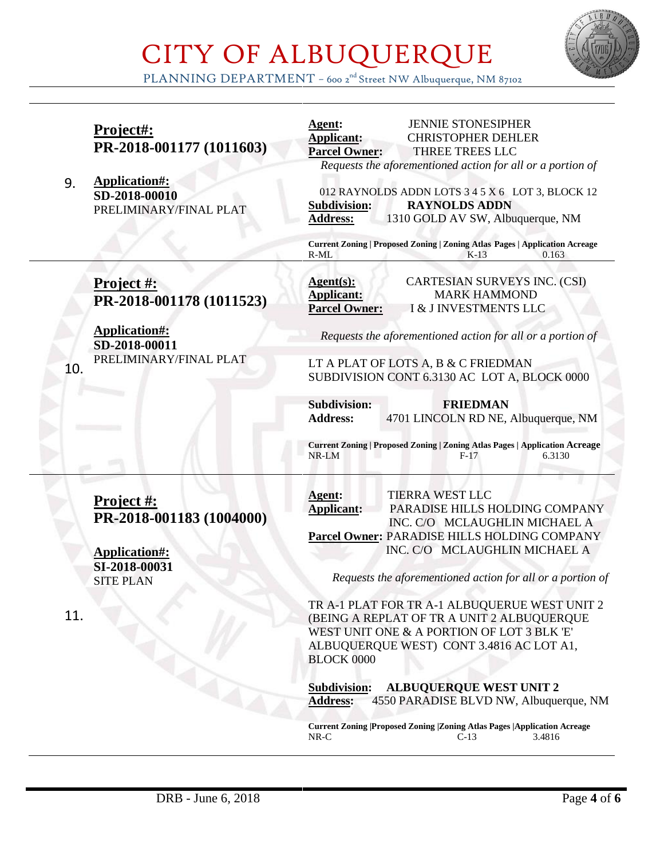

PLANNING DEPARTMENT – 600 2<sup>nd</sup> Street NW Albuquerque, NM 87102

|     | Project#:<br>PR-2018-001177 (1011603)<br>Application#:          | <b>JENNIE STONESIPHER</b><br>Agent:<br><b>Applicant:</b><br><b>CHRISTOPHER DEHLER</b><br>THREE TREES LLC<br><b>Parcel Owner:</b><br>Requests the aforementioned action for all or a portion of                                               |
|-----|-----------------------------------------------------------------|----------------------------------------------------------------------------------------------------------------------------------------------------------------------------------------------------------------------------------------------|
| 9.  | SD-2018-00010<br>PRELIMINARY/FINAL PLAT                         | 012 RAYNOLDS ADDN LOTS 3 4 5 X 6 LOT 3, BLOCK 12<br><b>RAYNOLDS ADDN</b><br><b>Subdivision:</b><br>1310 GOLD AV SW, Albuquerque, NM<br><b>Address:</b><br><b>Current Zoning   Proposed Zoning   Zoning Atlas Pages   Application Acreage</b> |
|     |                                                                 | R-ML<br>$K-13$<br>0.163                                                                                                                                                                                                                      |
|     | Project #:<br>PR-2018-001178 (1011523)                          | <b>CARTESIAN SURVEYS INC. (CSI)</b><br>Agent(s):<br><b>MARK HAMMOND</b><br><b>Applicant:</b><br>I & J INVESTMENTS LLC<br><b>Parcel Owner:</b>                                                                                                |
|     | <b>Application#:</b><br>SD-2018-00011<br>PRELIMINARY/FINAL PLAT | Requests the aforementioned action for all or a portion of                                                                                                                                                                                   |
| 10. |                                                                 | LT A PLAT OF LOTS A, B & C FRIEDMAN<br>SUBDIVISION CONT 6.3130 AC LOT A, BLOCK 0000                                                                                                                                                          |
|     |                                                                 | <b>Subdivision:</b><br><b>FRIEDMAN</b><br>4701 LINCOLN RD NE, Albuquerque, NM<br><b>Address:</b>                                                                                                                                             |
|     |                                                                 | <b>Current Zoning   Proposed Zoning   Zoning Atlas Pages   Application Acreage</b><br>NR-LM<br>6.3130<br>$F-17$                                                                                                                              |
|     |                                                                 | TIERRA WEST LLC                                                                                                                                                                                                                              |
|     | <b>Project #:</b><br>PR-2018-001183 (1004000)                   | Agent:<br><b>Applicant:</b><br>PARADISE HILLS HOLDING COMPANY                                                                                                                                                                                |
|     |                                                                 | INC. C/O MCLAUGHLIN MICHAEL A<br>Parcel Owner: PARADISE HILLS HOLDING COMPANY                                                                                                                                                                |
|     | Application#:                                                   | INC. C/O MCLAUGHLIN MICHAEL A                                                                                                                                                                                                                |
|     | SI-2018-00031<br><b>SITE PLAN</b>                               | Requests the aforementioned action for all or a portion of                                                                                                                                                                                   |
| 11. |                                                                 | TR A-1 PLAT FOR TR A-1 ALBUQUERUE WEST UNIT 2<br>(BEING A REPLAT OF TR A UNIT 2 ALBUQUERQUE<br>WEST UNIT ONE & A PORTION OF LOT 3 BLK 'E'<br>ALBUQUERQUE WEST) CONT 3.4816 AC LOT A1,<br><b>BLOCK 0000</b>                                   |
|     |                                                                 | <b>ALBUQUERQUE WEST UNIT 2</b><br><b>Subdivision:</b><br>4550 PARADISE BLVD NW, Albuquerque, NM<br><b>Address:</b>                                                                                                                           |
|     |                                                                 | <b>Current Zoning  Proposed Zoning  Zoning Atlas Pages  Application Acreage</b><br>$NR-C$<br>$C-13$<br>3.4816                                                                                                                                |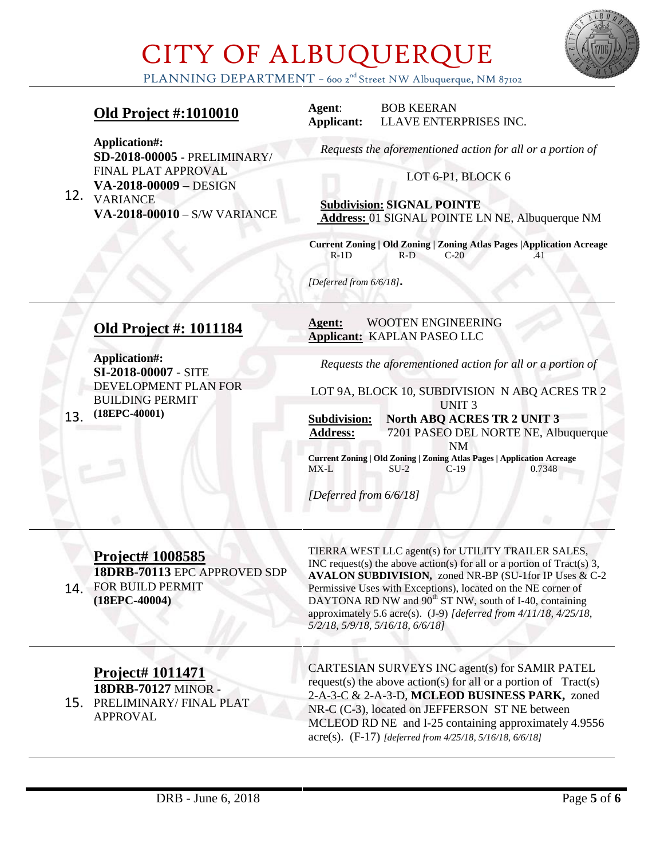

PLANNING DEPARTMENT - 600 2<sup>nd</sup> Street NW Albuquerque, NM 87102

### **Old Project #:1010010**

**Agent**: BOB KEERAN **Applicant:** LLAVE ENTERPRISES INC.

**Application#: SD-2018-00005** - PRELIMINARY/ FINAL PLAT APPROVAL **VA-2018-00009 –** DESIGN

12. VARIANCE **VA-2018-00010** – S/W VARIANCE *Requests the aforementioned action for all or a portion of*

#### LOT 6-P1, BLOCK 6

 **Subdivision: SIGNAL POINTE Address:** 01 SIGNAL POINTE LN NE, Albuquerque NM

**Current Zoning | Old Zoning | Zoning Atlas Pages |Application Acreage** R-1D R-D C-20 .41

*[Deferred from 6/6/18]***.**

### **Old Project #: 1011184**

13. **(18EPC-40001) Application#: SI-2018-00007** - SITE DEVELOPMENT PLAN FOR BUILDING PERMIT

#### **Agent:** WOOTEN ENGINEERING **Applicant:** KAPLAN PASEO LLC

*Requests the aforementioned action for all or a portion of*

LOT 9A, BLOCK 10, SUBDIVISION N ABQ ACRES TR 2 UNIT 3

**Subdivision: North ABQ ACRES TR 2 UNIT 3 Address:** 7201 PASEO DEL NORTE NE, Albuquerque NM

**Current Zoning | Old Zoning | Zoning Atlas Pages | Application Acreage** MX-L SU-2 C-19 0.7348

*[Deferred from 6/6/18]*

#### 14. FOR BUILD PERMIT **Project# 1008585 18DRB-70113** EPC APPROVED SDP **(18EPC-40004)**

TIERRA WEST LLC agent(s) for UTILITY TRAILER SALES, INC request(s) the above action(s) for all or a portion of Tract(s) 3, **AVALON SUBDIVISION,** zoned NR-BP (SU-1for IP Uses & C-2 Permissive Uses with Exceptions), located on the NE corner of DAYTONA RD NW and  $90^{th}$  ST NW, south of I-40, containing approximately 5.6 acre(s). (J-9) *[deferred from 4/11/18, 4/25/18, 5/2/18, 5/9/18, 5/16/18, 6/6/18]*

### **Project# 1011471**

15. PRELIMINARY/ FINAL PLAT **18DRB-70127** MINOR - APPROVAL

CARTESIAN SURVEYS INC agent(s) for SAMIR PATEL request(s) the above action(s) for all or a portion of  $Tract(s)$ 2-A-3-C & 2-A-3-D, **MCLEOD BUSINESS PARK,** zoned NR-C (C-3), located on JEFFERSON ST NE between MCLEOD RD NE and I-25 containing approximately 4.9556 acre(s). (F-17) *[deferred from 4/25/18, 5/16/18, 6/6/18]*